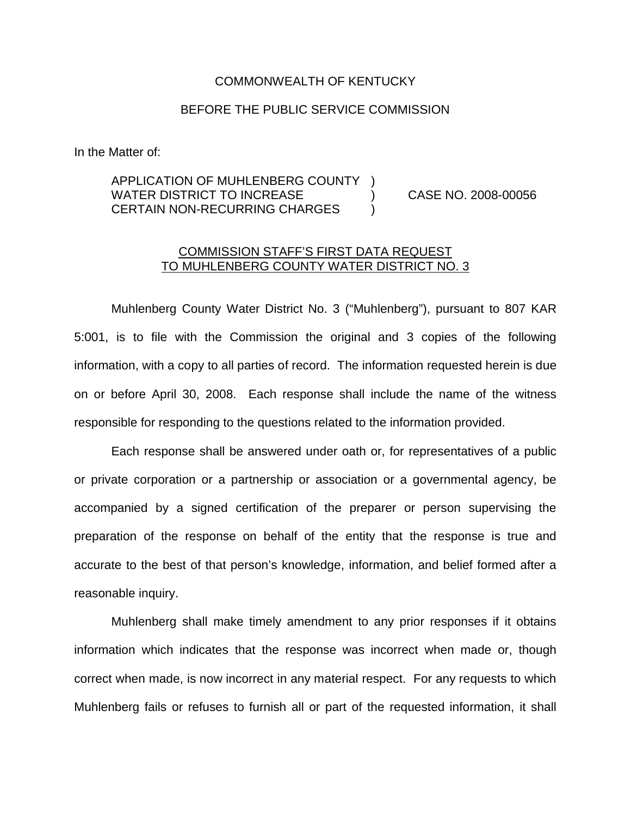## COMMONWEALTH OF KENTUCKY

## BEFORE THE PUBLIC SERVICE COMMISSION

In the Matter of:

## APPLICATION OF MUHLENBERG COUNTY ) WATER DISTRICT TO INCREASE  $\overline{)}$  CASE NO. 2008-00056 CERTAIN NON-RECURRING CHARGES )

## COMMISSION STAFF'S FIRST DATA REQUEST TO MUHLENBERG COUNTY WATER DISTRICT NO. 3

Muhlenberg County Water District No. 3 ("Muhlenberg"), pursuant to 807 KAR 5:001, is to file with the Commission the original and 3 copies of the following information, with a copy to all parties of record. The information requested herein is due on or before April 30, 2008. Each response shall include the name of the witness responsible for responding to the questions related to the information provided.

Each response shall be answered under oath or, for representatives of a public or private corporation or a partnership or association or a governmental agency, be accompanied by a signed certification of the preparer or person supervising the preparation of the response on behalf of the entity that the response is true and accurate to the best of that person's knowledge, information, and belief formed after a reasonable inquiry.

Muhlenberg shall make timely amendment to any prior responses if it obtains information which indicates that the response was incorrect when made or, though correct when made, is now incorrect in any material respect. For any requests to which Muhlenberg fails or refuses to furnish all or part of the requested information, it shall